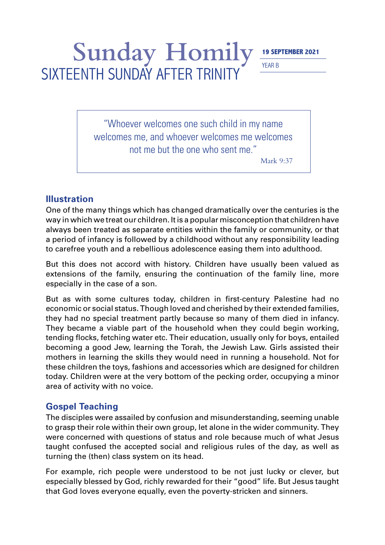## YEAR B

# Sunday Homily **19 SEPTEMBER 2021** SIXTEENTH SUNDAY AFTER TRINITY

"Whoever welcomes one such child in my name welcomes me, and whoever welcomes me welcomes not me but the one who sent me."

Mark 9:37

#### **Illustration**

One of the many things which has changed dramatically over the centuries is the way in which we treat our children. It is a popular misconception that children have always been treated as separate entities within the family or community, or that a period of infancy is followed by a childhood without any responsibility leading to carefree youth and a rebellious adolescence easing them into adulthood.

But this does not accord with history. Children have usually been valued as extensions of the family, ensuring the continuation of the family line, more especially in the case of a son.

But as with some cultures today, children in first-century Palestine had no economic or social status. Though loved and cherished by their extended families, they had no special treatment partly because so many of them died in infancy. They became a viable part of the household when they could begin working, tending flocks, fetching water etc. Their education, usually only for boys, entailed becoming a good Jew, learning the Torah, the Jewish Law. Girls assisted their mothers in learning the skills they would need in running a household. Not for these children the toys, fashions and accessories which are designed for children today. Children were at the very bottom of the pecking order, occupying a minor area of activity with no voice.

### **Gospel Teaching**

The disciples were assailed by confusion and misunderstanding, seeming unable to grasp their role within their own group, let alone in the wider community. They were concerned with questions of status and role because much of what Jesus taught confused the accepted social and religious rules of the day, as well as turning the (then) class system on its head.

For example, rich people were understood to be not just lucky or clever, but especially blessed by God, richly rewarded for their "good" life. But Jesus taught that God loves everyone equally, even the poverty-stricken and sinners.